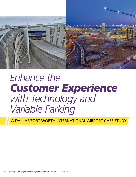

# Enhance the *Customer Experience with Technology and Variable Parking*

A DALLAS/FORT WORTH INTERNATIONAL AIRPORT CASE STUDY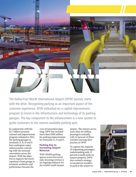

The Dallas/Fort Worth International Airport (DFW) journey starts with the drive. Recognizing parking as an important aspect of the customer experience, DFW embarked on a capital improvement program to invest in the infrastructure and technology of its parking garages. The key component to the enhancement is a new system to guide customers to the nearest available parking spot.

In conjunction with the \$2.7 billion terminal renewal and improvement program initiated in 2011, the parking garages in terminals A, B, D and E have undergone major enhancements coinciding with the terminal renovations across the airport. With the objective to improve the travel experience from garage to terminal, aesthetics and performance became the

crux of renovation planning. DFW has invested more than \$300 million for parking improvements for terminals A, D and E.

## **Parking Key to Increasing Airport Revenue**

With 28,000 parking spaces across five terminals, boosting revenue is an ongoing endeavor for the world's ninth busiest

airport. The airport serves more than 64 million passengers annually, with 42 percent of those travelers starting their journey at DFW.

To capture the majority of originating passengers, understanding only 21 percent actually park on airport property, DFW also created a strategy to incentivize travelers to park at the airport to

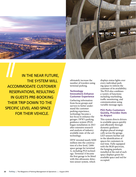

IN THE NEAR FUTURE, THE SYSTEM WILL ACCOMMODATE CUSTOMER RESERVATIONS, RESULTING IN GUESTS PRE-BOOKING THEIR TRIP DOWN TO THE SPECIFIC LEVEL AND SPACE FOR THEIR VEHICLE.

ultimately increase the number of travelers using terminal parking.

# **Technology Innovations Enhance Customer Experience**

Gathering information from focus groups and surveys to better understand the customer parking experience, technology became a key focus to enhance the garages. DFW's parking guidance system (PGS) began installation in 2013 after extensive research and analysis of industry available state-of-the-art technology.

DFW invested nearly \$200 million into the construction of a five-level, 7,000 space garage for terminal A, including PGS technology. Terminal A became the first garage to be fitted with this ultrasonic detection sensor system, which

displays status lights over every individual parking space to inform the customer of its availability. The PGS also combines a variety of functions including wayfinding, traffic monitoring, and communication using variable message signs.

# **PGS Parks Customers Quickly, Provides Stats to Airport**

This system directs drivers to available spaces quickly and efficiently through dynamic guidance displays placed strategically across the garage. LED sensors further aid in the identification of spaces for customers in real time. Fully equipped with the RGB spectrum, the hanging pendants installed at the end of each space displays green for available space and red for occupied.